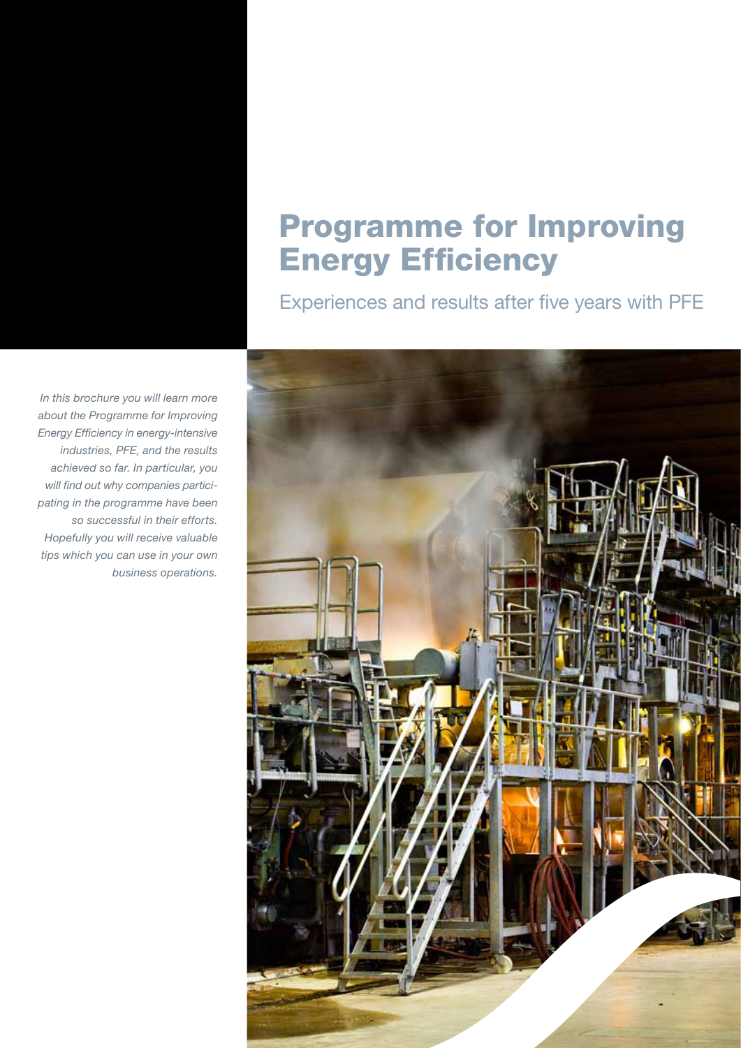# **Programme for Improving Energy Efficiency**

Experiences and results after five years with PFE

*In this brochure you will learn more about the Programme for Improving Energy Efficiency in energy-intensive industries, PFE, and the results achieved so far. In particular, you will find out why companies participating in the programme have been so successful in their efforts. Hopefully you will receive valuable tips which you can use in your own business operations.*

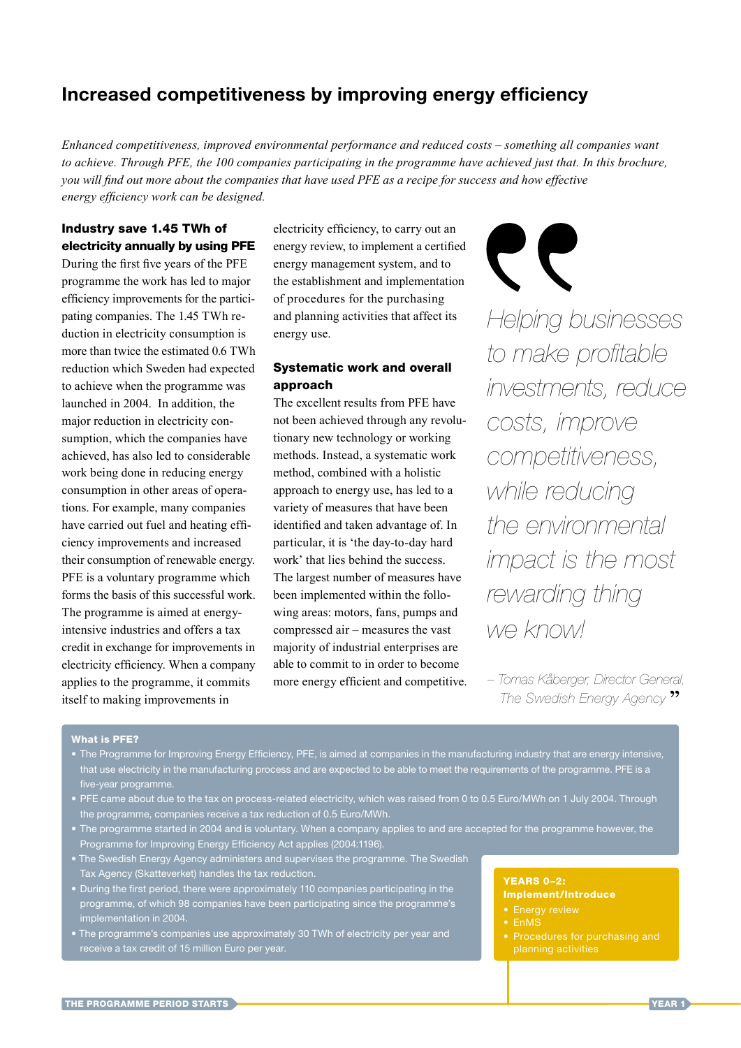# Increased competitiveness by improving energy efficiency

*Enhanced competitiveness, improved environmental performance and reduced costs – something all companies want to* achieve. Through PFE, the 100 companies participating in the programme have achieved just that. In this brochure, *you will find out more about the companies that have used PFE as a recipe for success and how effective energy efficiency work can be designed.* 

#### Industry save 1.45 TWh of electricity annually by using pFE

During the first five years of the PFE programme the work has led to major efficiency improvements for the participating companies. The 1.45 TWh reduction in electricity consumption is more than twice the estimated 0.6 TWh reduction which Sweden had expected to achieve when the programme was launched in 2004. In addition, the major reduction in electricity consumption, which the companies have achieved, has also led to considerable work being done in reducing energy consumption in other areas of operations. For example, many companies have carried out fuel and heating efficiency improvements and increased their consumption of renewable energy. PFE is a voluntary programme which forms the basis of this successful work. The programme is aimed at energyintensive industries and offers a tax credit in exchange for improvements in electricity efficiency. When a company applies to the programme, it commits itself to making improvements in

electricity efficiency, to carry out an energy review, to implement a certified energy management system, and to the establishment and implementation of proce dures for the purchasing and planning activities that affect its energy use.

#### Systematic work and overall approach

The excellent results from PFE have not been achieved through any revolutionary new technology or working methods. Instead, a systematic work method, combined with a holistic approach to energy use, has led to a variety of measures that have been identified and taken advantage of. In particular, it is 'the day-to-day hard work' that lies behind the success. The largest number of measures have been implemented within the following areas: motors, fans, pumps and compressed air – measures the vast majority of industrial enterprises are able to commit to in order to become more energy efficient and competitive.

57 *Helping businesses to make profitable investments, reduce costs, improve competitiveness, while reducing the environmental impact is the most rewarding thing we know!*

*– Tomas Kåberger, Director General, The Swedish Energy Agency*

#### What is pFE?

- The Programme for Improving Energy Efficiency, PFE, is aimed at companies in the manufacturing industry that are energy intensive, that use electricity in the manufacturing process and are expected to be able to meet the requirements of the programme. PFE is a five-year programme.
- PFE came about due to the tax on process-related electricity, which was raised from 0 to 0.5 Euro/Mwh on 1 July 2004. Through the programme, companies receive a tax reduction of 0.5 Euro/Mwh.
- The programme started in 2004 and is voluntary. When a company applies to and are accepted for the programme however, the Programme for Improving Energy Efficiency Act applies (2004:1196).
- The Swedish Energy Agency administers and supervises the programme. The Swedish Tax Agency (Skatteverket) handles the tax reduction.
- During the first period, there were approximately 110 companies participating in the programme, of which 98 companies have been participating since the programme's implementation in 2004.
- The programme's companies use approximately 30 Twh of electricity per year and

# YEARS 0–2:

### Implement/Introduce

- 
- Procedures for purchasing and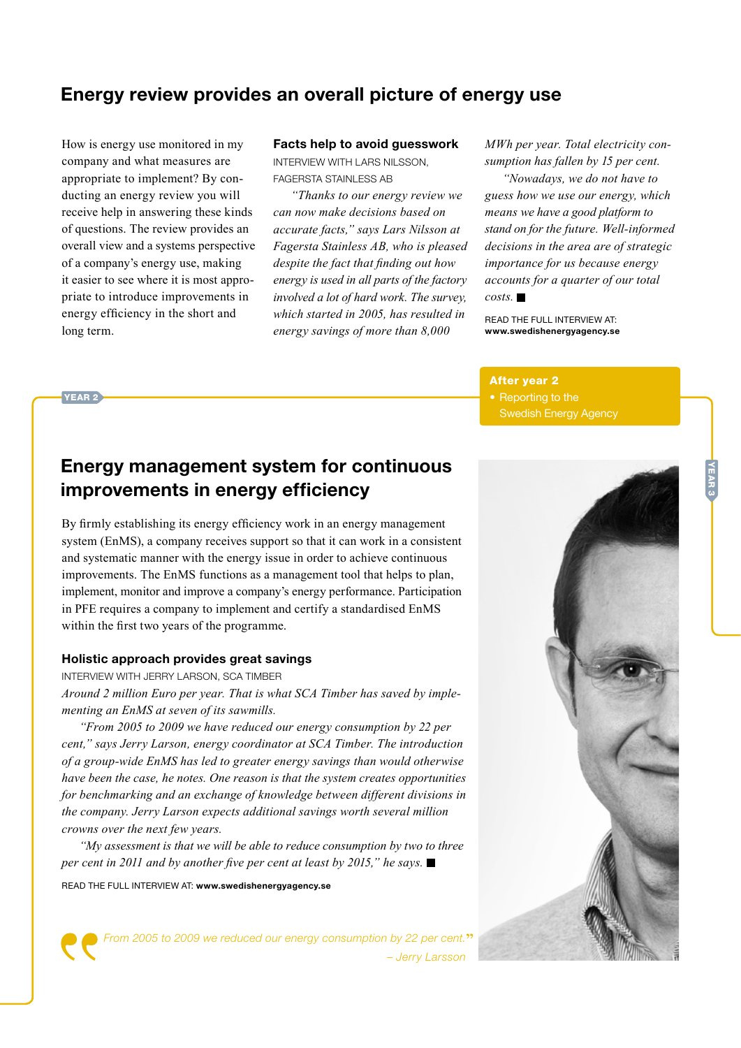# Energy review provides an overall picture of energy use

How is energy use monitored in my company and what measures are appropriate to implement? By conducting an energy review you will receive help in answering these kinds of questions. The review provides an overall view and a systems perspective of a company's energy use, making it easier to see where it is most appropriate to introduce improvements in energy efficiency in the short and long term.

#### Facts help to avoid guesswork

IntervIew wIth Lars nILsson, Fagersta staInLess aB

 *"Thanks to our energy review we can now make decisions based on accurate facts," says Lars Nilsson at Fagersta Stainless AB, who is pleased*  despite the fact that finding out how *energy is used in all parts of the factory involved a lot of hard work. The survey,* which started in 2005, has resulted in energy savings of more than  $8,000$ 

*MWh per year. Total electricity consumption has fallen by 15 per cent.* 

*"Nowadays, we do not have to guess how we use our energy, which means* we have a good platform to stand on for the future. Well-informed decisions in the area are of strategic *importance for us because energy accounts for a quarter of our total*  $\cos t s$ 

REAd ThE FuLL InTERVIEw AT: www.swedishenergyagency.se

#### After year 2

• Reporting to the Swedish Energy Agency

# YEAR<sub>2</sub>

# Energy management system for continuous improvements in energy efficiency

By firmly establishing its energy efficiency work in an energy management system (EnMS), a company receives support so that it can work in a consistent and systematic manner with the energy issue in order to achieve continuous improvements. The EnMS functions as a management tool that helps to plan, implement, monitor and improve a company's energy performance. Participation in PFE requires a company to implement and certify a standardised EnMS within the first two years of the programme.

#### Holistic approach provides great savings

IntervIew wIth Jerry Larson, sCa tImBer

*Around 2 million Euro per year. That is what SCA Timber has saved by implementing an EnMS at seven of its sawmills.* 

 *"From 2005 to 2009 we have reduced our energy consumption by 22 per cent,"* says Jerry Larson, energy coordinator at SCA Timber. The introduction *of a group-wide EnMS has led to greater energy savings than would otherwise have been the case, he notes. One reason is that the system creates opportunities for benchmarking and an exchange of knowledge between different divisions in the company. Jerry Larson expects additional savings worth several million crowns over the next few years.*

*"My assessment is that we will be able to reduce consumption by two to three per cent in 2011 and by another five per cent at least by 2015," he says.* ■

REAd ThE FuLL InTERVIEw AT: www.swedishenergyagency.se

*From 2005 to 2009 we reduced our energy consumption by 22 per cent. – Jerry Larsson*



**NEAR 3**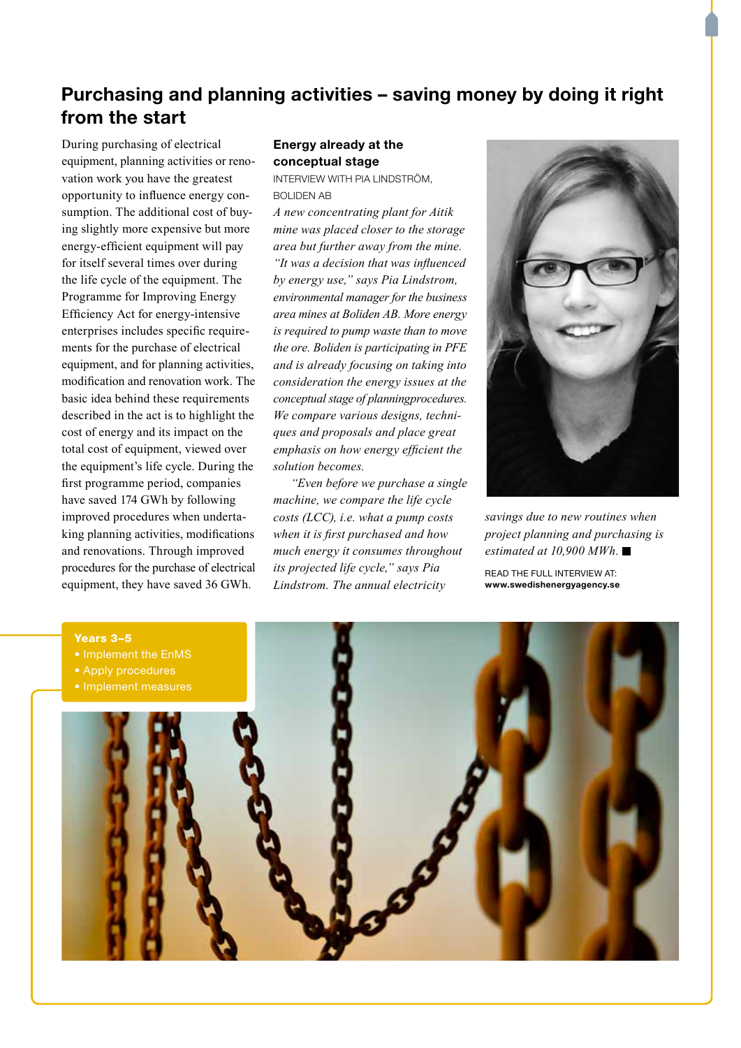# Purchasing and planning activities – saving money by doing it right from the start

During purchasing of electrical equipment, planning activities or renovation work you have the greatest opportunity to influence energy consumption. The additional cost of buying slightly more expensive but more energy-efficient equipment will pay for itself several times over during the life cycle of the equipment. The Programme for Improving Energy Efficiency Act for energy-intensive enterprises includes specific requirements for the purchase of electrical equipment, and for planning activities, modification and renovation work. The basic idea behind these requirements described in the act is to highlight the cost of energy and its impact on the total cost of equipment, viewed over the equipment's life cycle. During the first programme period, companies have saved 174 GWh by following improved procedures when undertaking planning activities, modifications and renovations. Through improved procedures for the purchase of electrical equipment, they have saved 36 GWh.

#### Energy already at the conceptual stage

IntervIew wIth PIa LIndström, BoLIden aB

*A new concentrating plant for Aitik mine* was placed closer to the storage *area but further away from the mine.* "It was a decision that was influenced by energy use," says Pia Lindstrom, *environmental manager for the business area mines at Boliden AB. More energy is required to pump waste than to move the ore. Boliden is participating in PFE and is already focusing on taking into consideration the energy issues at the conceptual stage of planningprocedures.* We compare various designs, techni*ques and proposals and place great*  emphasis on how energy efficient the *solution becomes.*

 *"Even before we purchase a single machine, we compare the life cycle costs (LCC), i.e. what a pump costs when it is first purchased and how much energy it consumes throughout its* projected life cycle," says Pia *Lindstrom. The annual electricity*



savings due to new routines when *project planning and purchasing is estimated at 10,900 MWh.* 

REAd ThE FuLL InTERVIEw AT: www.swedishenergyagency.se

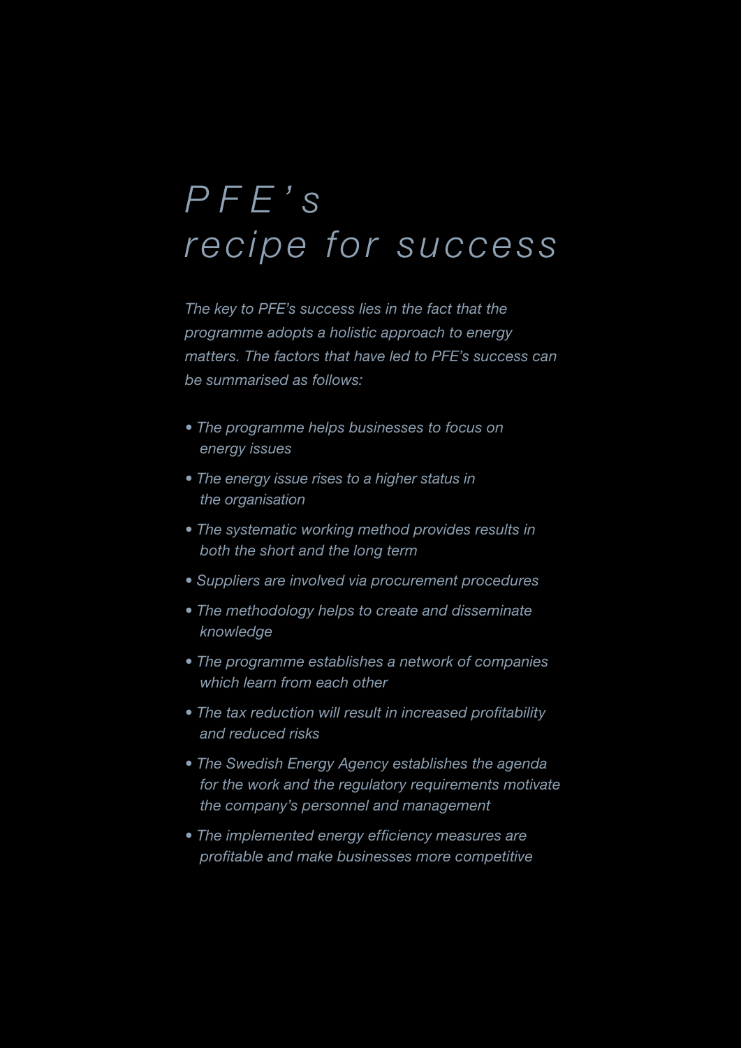# *P F E ' s recipe for success*

*The key to PFE's success lies in the fact that the programme adopts a holistic approach to energy matters. The factors that have led to PFE's success can be summarised as follows:*

- *The programme helps businesses to focus on energy issues*
- *The energy issue rises to a higher status in the organisation*
- *The systematic working method provides results in both the short and the long term*
- *Suppliers are involved via procurement procedures*
- *The methodology helps to create and disseminate knowledge*
- *The programme establishes a network of companies which learn from each other*
- *The tax reduction will result in increased profitability and reduced risks*
- *The Swedish Energy Agency establishes the agenda for the work and the regulatory requirements motivate the company's personnel and management*
- *The implemented energy efficiency measures are profitable and make businesses more competitive*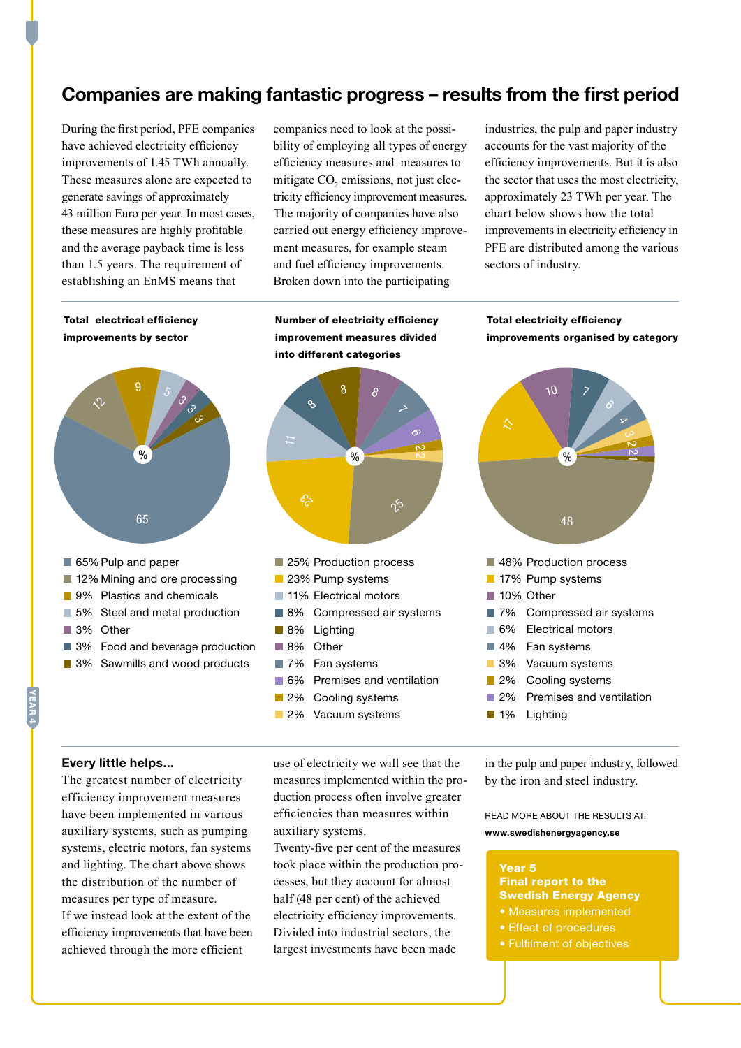## Companies are making fantastic progress – results from the first period

During the first period, PFE companies have achieved electricity efficiency improvements of 1.45 TWh annually. These measures alone are expected to generate savings of approximately 43 million Euro per year. In most cases, these measures are highly profitable and the average payback time is less than 1.5 years. The requirement of establishing an EnMS means that

companies need to look at the possibility of employing all types of energy efficiency measures and measures to mitigate  $CO<sub>2</sub>$  emissions, not just electricity efficiency improvement measures. The majority of companies have also carried out energy efficiency improvement measures, for example steam and fuel efficiency improvements. Broken down into the participating

industries, the pulp and paper industry accounts for the vast majority of the efficiency improvements. But it is also the sector that uses the most electricity, approximately 23 TWh per year. The chart below shows how the total improvements in electricity efficiency in PFE are distributed among the various sectors of industry.



#### Every little helps...

YEAR 4

The greatest number of electricity efficiency improvement measures have been implemented in various auxiliary systems, such as pumping systems, electric motors, fan systems and lighting. The chart above shows the distribution of the number of measures per type of measure. If we instead look at the extent of the efficiency improvements that have been achieved through the more efficient

use of electricity we will see that the measures implemented within the production process often involve greater efficiencies than measures within auxiliary systems.

Twenty-five per cent of the measures took place within the production processes, but they account for almost half (48 per cent) of the achieved electricity efficiency improvements. Divided into industrial sectors, the largest investments have been made

in the pulp and paper industry, followed by the iron and steel industry.

READ MORE ABOUT THE RESULTS AT: www.swedishenergyagency.se

#### Year 5 Final report to the Swedish Energy Agency • Measures implemented

- 
- 
- Fulfilment of objectives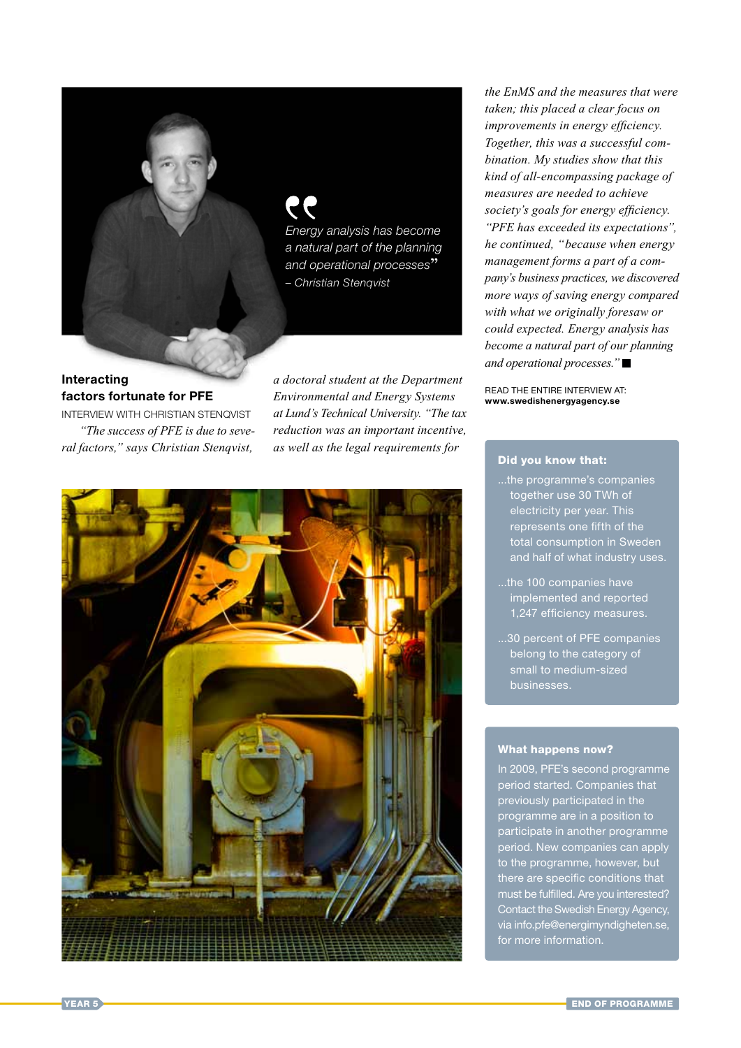

#### Interacting factors fortunate for PFE

IntervIew wIth ChrIstIan stenqvIst *"The success of PFE is due to seve*ral factors," says Christian Stenqvist,

*a doctoral student at the Department Environmental and Energy Systems at Lund's Technical University.* "The tax *reduction* was an important incentive, *as well as the legal requirements for* 



*the EnMS and the measures that were taken;* this placed a clear focus on *improvements in energy efficiency.* Together, this was a successful com*bination. My studies show that this kind of all-encompassing package of measures are needed to achieve*  society's goals for energy efficiency. *"PFE has exceeded its expectations", he continued, "because when energy management forms a part of a com*pany's business practices, we discovered *more ways of saving energy compared* with what we originally foresaw or *could expected.* Energy analysis has *become a natural part of our planning and operational processes.*"

REAd ThE EnTIRE InTERVIEw AT: www.swedishenergyagency.se

#### Did you know that:

- ...the programme's companies together use 30 TWh of electricity per year. This represents one fifth of the total consumption in Sweden and half of what industry uses.
- ...the 100 companies have implemented and reported 1,247 efficiency measures.
- ...30 percent of PFE companies belong to the category of small to medium-sized

#### What happens now?

In 2009, PFE's second programme period started. Companies that previously participated in the programme are in a position to participate in another programme period. New companies can apply to the programme, however, but there are specific conditions that must be fulfilled. Are you interested? Contact the Swedish Energy Agency, via info.pfe@energimyndigheten.se, for more information.